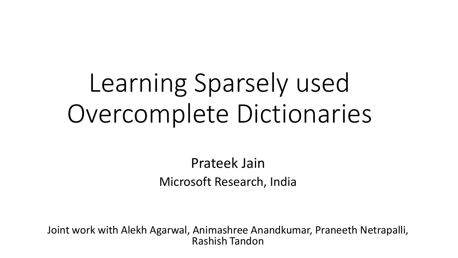# Learning Sparsely used Overcomplete Dictionaries

Prateek Jain Microsoft Research, India

Joint work with Alekh Agarwal, Animashree Anandkumar, Praneeth Netrapalli, Rashish Tandon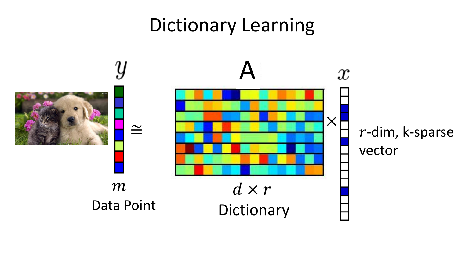#### Dictionary Learning

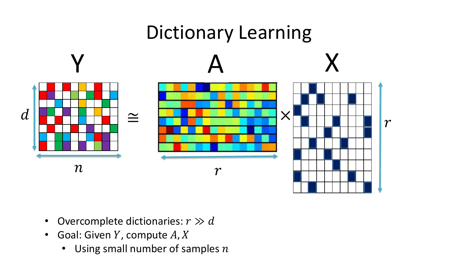

- Overcomplete dictionaries:  $r \gg d$
- Goal: Given  $Y$ , compute  $A, X$ 
	- Using small number of samples  $n$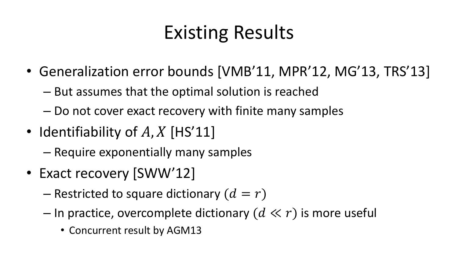# Existing Results

- Generalization error bounds [VMB'11, MPR'12, MG'13, TRS'13]
	- But assumes that the optimal solution is reached
	- Do not cover exact recovery with finite many samples
- Identifiability of  $A$ ,  $X$  [HS'11]
	- Require exponentially many samples
- Exact recovery [SWW'12]
	- Restricted to square dictionary  $(d = r)$
	- In practice, overcomplete dictionary  $(d \ll r)$  is more useful
		- Concurrent result by AGM13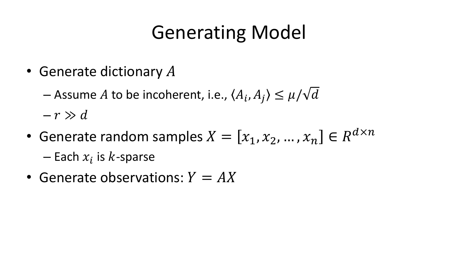## Generating Model

- Generate dictionary  $A$ 
	- Assume  $A$  to be incoherent, i.e.,  $\langle A_i, A_j \rangle \leq \mu/\sqrt{d}$

 $-r \gg d$ 

- Generate random samples  $X = [x_1, x_2, ..., x_n] \in R^{d \times n}$ — Each  $x_i$  is  $k$ -sparse
- Generate observations:  $Y = AX$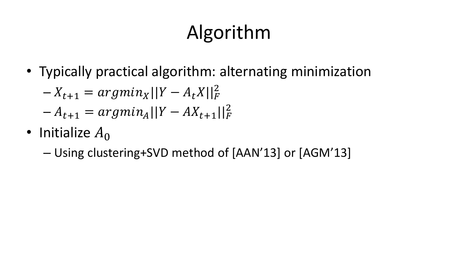# Algorithm

• Typically practical algorithm: alternating minimization

$$
-X_{t+1} = argmin_{X} ||Y - A_t X||_F^2
$$

$$
-A_{t+1} = argmin_{A} ||Y - AX_{t+1}||_F^2
$$

- Initialize  $A_0$ 
	- Using clustering+SVD method of [AAN'13] or [AGM'13]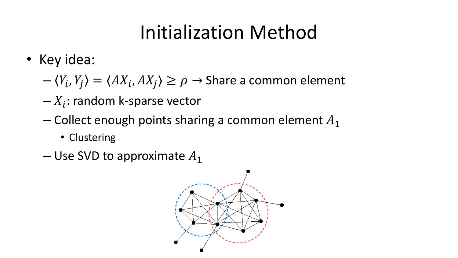# Initialization Method

- Key idea:
	- $-\langle Y_i, Y_j \rangle = \langle AX_i, AX_j \rangle \geq \rho \to$  Share a common element
	- $-X_i$ : random k-sparse vector
	- Collect enough points sharing a common element  $A_1$ 
		- Clustering
	- Use SVD to approximate  $A_1$

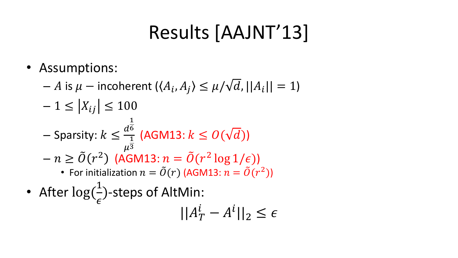# Results [AAJNT'13]

- Assumptions:
	- $A$  is  $\mu$   $-$  incoherent ( $\langle A_i,A_j\rangle\leq \mu/\sqrt{d}$ ,  $||A_i||=1)$
	- $-1 \leq |X_{ij}| \leq 100$  $-$  Sparsity:  $k \leq$  $\boldsymbol{d}$ 1 6  $\mu\overline{3}$  $\frac{1}{1}$  (AGM13:  $k \leq O(\sqrt{d}))$  $-n \ge \tilde{O}(r^2)$  (AGM13:  $n = \tilde{O}(r^2 \log 1/\epsilon)$ )
		- For initialization  $n = \tilde{O}(r)$  (AGM13:  $n = \tilde{O}(r^2)$ )
- After log( 1  $\epsilon$ )-steps of AltMin:  $||A_T^i - A^i||_2 \leq \epsilon$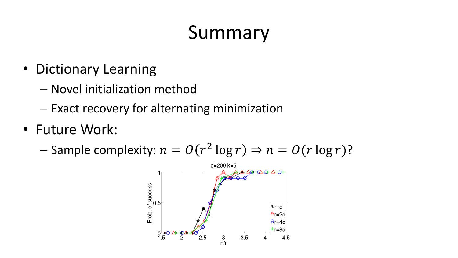## Summary

- Dictionary Learning
	- Novel initialization method
	- Exact recovery for alternating minimization
- Future Work:

- Sample complexity:  $n = O(r^2 \log r) \Rightarrow n = O(r \log r)$ ?

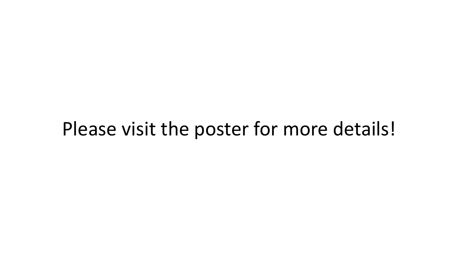#### Please visit the poster for more details!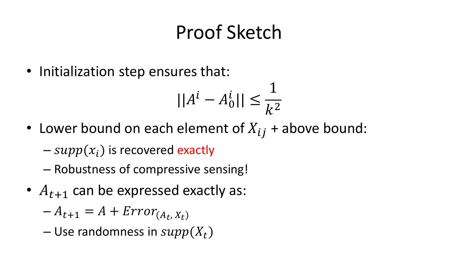# Proof Sketch

• Initialization step ensures that:

$$
||A^i - A_0^i|| \le \frac{1}{k^2}
$$

- Lower bound on each element of  $X_{ij}$  + above bound:
	- $-$  supp $(x_i)$  is recovered exactly
	- Robustness of compressive sensing!
- $A_{t+1}$  can be expressed exactly as:
	- $-A_{t+1} = A + Error_{(A_t, X_t)}$
	- Use randomness in  $supp(X_t)$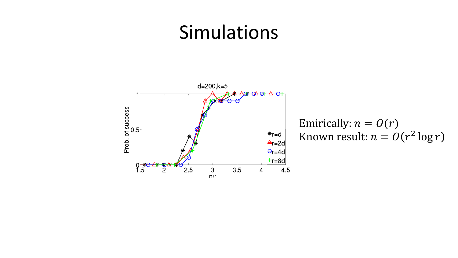#### Simulations

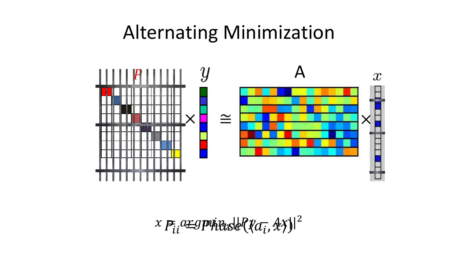#### Alternating Minimization



 $x \, F_{ii}$  argpuings LR  $y a_i$ ,  $\hat{x} y$ )<sup>2</sup>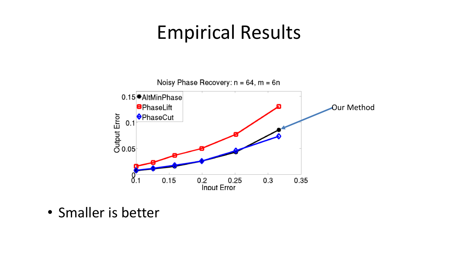#### Empirical Results



• Smaller is better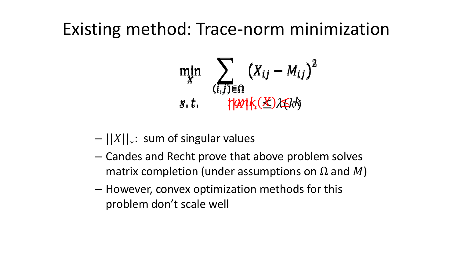#### Existing method: Trace-norm minimization

$$
\min_{X} \sum_{(i,j)\in\Omega} (X_{ij} - M_{ij})^2
$$
  
s.t. 
$$
\eta \text{and } k(\underline{X}) \text{ and } k(\underline{X})
$$

- $-||X||_*:$  sum of singular values
- Candes and Recht prove that above problem solves matrix completion (under assumptions on  $\Omega$  and  $M$ )
- However, convex optimization methods for this problem don't scale well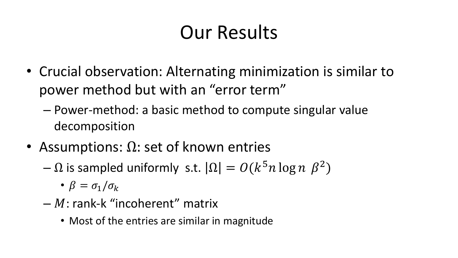# Our Results

- Crucial observation: Alternating minimization is similar to power method but with an "error term"
	- Power-method: a basic method to compute singular value decomposition
- Assumptions:  $\Omega$ : set of known entries
	- $-$  Ω is sampled uniformly s.t.  $|\Omega| = O(k^5 n \log n \beta^2)$

•  $\beta = \sigma_1/\sigma_k$ 

- $-M$ : rank-k "incoherent" matrix
	- Most of the entries are similar in magnitude